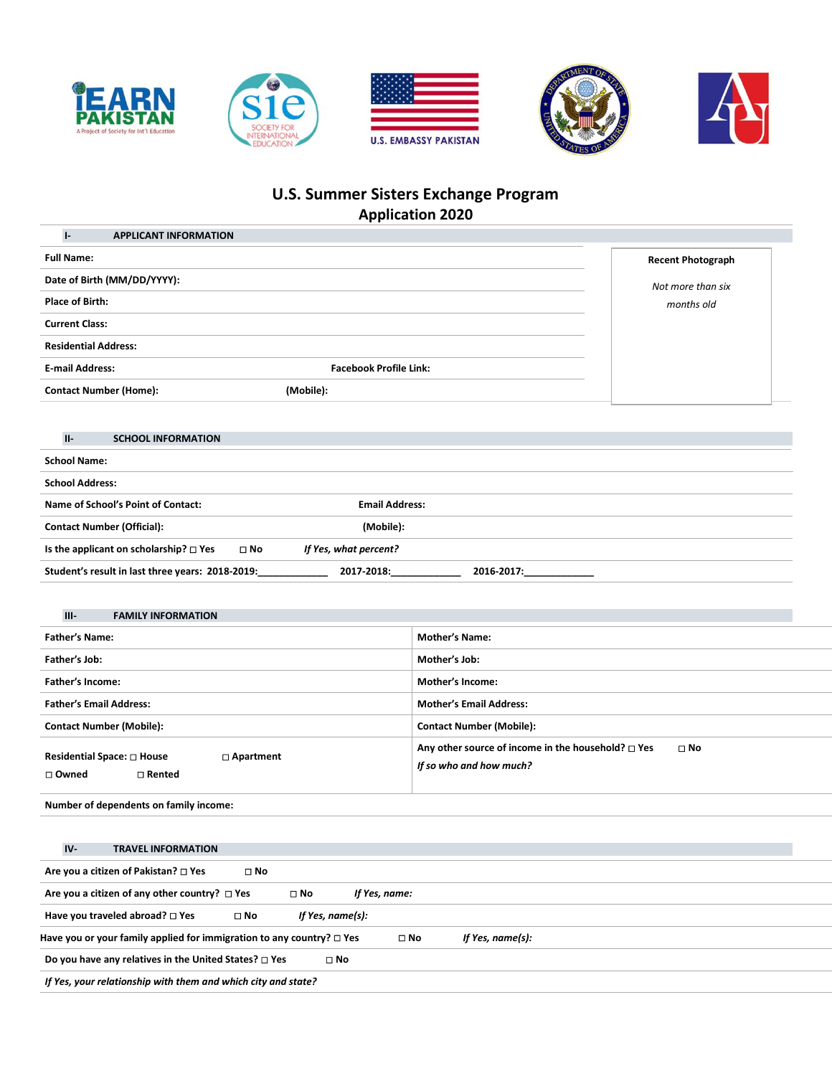









# **U.S. Summer Sisters Exchange Program Application 2020**

| <b>APPLICANT INFORMATION</b><br>$\mathsf{L}$ |                               |                          |
|----------------------------------------------|-------------------------------|--------------------------|
| <b>Full Name:</b>                            |                               | <b>Recent Photograph</b> |
| Date of Birth (MM/DD/YYYY):                  |                               | Not more than six        |
| <b>Place of Birth:</b>                       |                               | months old               |
| <b>Current Class:</b>                        |                               |                          |
| <b>Residential Address:</b>                  |                               |                          |
| <b>E-mail Address:</b>                       | <b>Facebook Profile Link:</b> |                          |
| <b>Contact Number (Home):</b>                | (Mobile):                     |                          |
|                                              |                               |                          |

# **II- SCHOOL INFORMATION**

| <b>School Name:</b>                              |              |                       |            |
|--------------------------------------------------|--------------|-----------------------|------------|
| <b>School Address:</b>                           |              |                       |            |
| Name of School's Point of Contact:               |              | <b>Email Address:</b> |            |
| <b>Contact Number (Official):</b>                |              | (Mobile):             |            |
| Is the applicant on scholarship? $\square$ Yes   | $\square$ No | If Yes, what percent? |            |
| Student's result in last three years: 2018-2019: |              | 2017-2018:            | 2016-2017: |

| $III -$<br><b>FAMILY INFORMATION</b>                                          |                                                                                                       |
|-------------------------------------------------------------------------------|-------------------------------------------------------------------------------------------------------|
| <b>Father's Name:</b>                                                         | <b>Mother's Name:</b>                                                                                 |
| Father's Job:                                                                 | Mother's Job:                                                                                         |
| Father's Income:                                                              | Mother's Income:                                                                                      |
| <b>Father's Email Address:</b>                                                | <b>Mother's Email Address:</b>                                                                        |
| <b>Contact Number (Mobile):</b>                                               | <b>Contact Number (Mobile):</b>                                                                       |
| Residential Space: $\square$ House<br>□ Apartment<br>$\Box$ Rented<br>□ Owned | Any other source of income in the household? $\square$ Yes<br>$\square$ No<br>If so who and how much? |

**Number of dependents on family income:**

| $IV -$<br><b>TRAVEL INFORMATION</b>                                        |                            |                                  |  |  |
|----------------------------------------------------------------------------|----------------------------|----------------------------------|--|--|
| Are you a citizen of Pakistan? □ Yes<br>$\square$ No                       |                            |                                  |  |  |
| Are you a citizen of any other country? $\Box$ Yes                         | $\Box$ No<br>If Yes, name: |                                  |  |  |
| Have you traveled abroad? $\square$ Yes<br>$\square$ No                    | If Yes, name(s):           |                                  |  |  |
| Have you or your family applied for immigration to any country? $\Box$ Yes |                            | If Yes, name(s):<br>$\square$ No |  |  |
| Do you have any relatives in the United States? $\square$ Yes              | $\square$ No               |                                  |  |  |
| If Yes, your relationship with them and which city and state?              |                            |                                  |  |  |
|                                                                            |                            |                                  |  |  |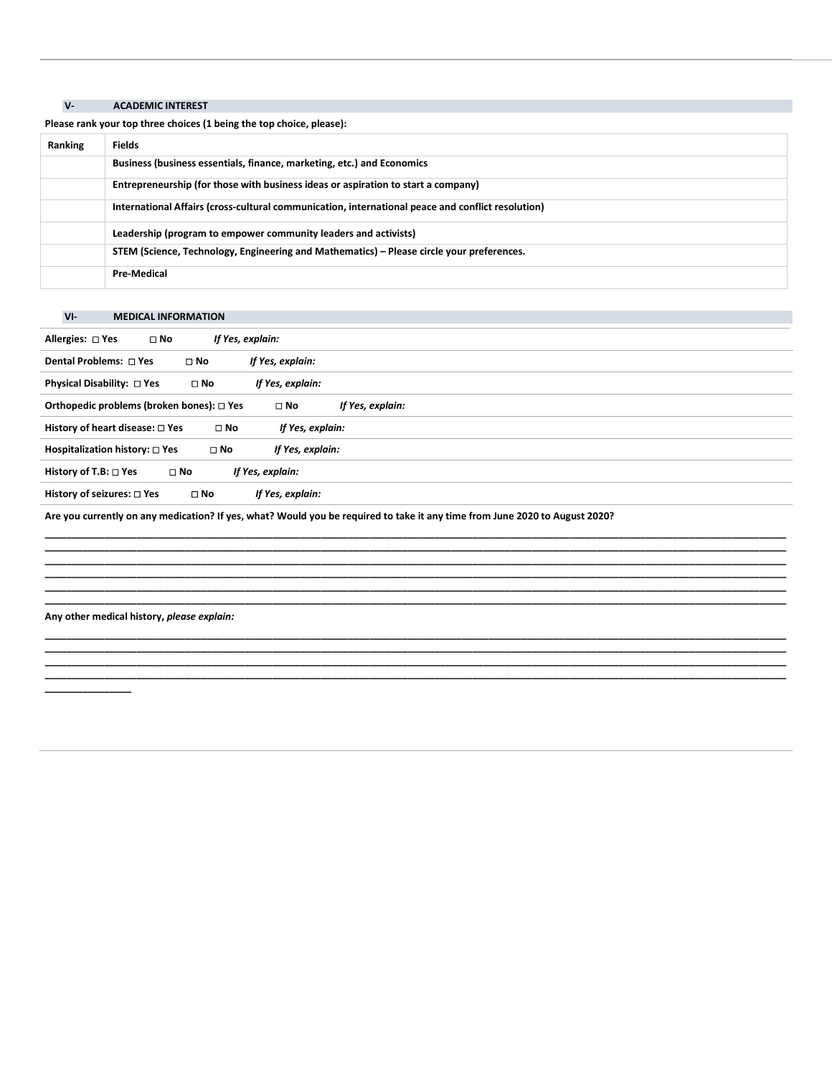# **V- ACADEMIC INTEREST**

**Please rank your top three choices (1 being the top choice, please):**

| Ranking | <b>Fields</b>                                                                                     |
|---------|---------------------------------------------------------------------------------------------------|
|         | Business (business essentials, finance, marketing, etc.) and Economics                            |
|         | Entrepreneurship (for those with business ideas or aspiration to start a company)                 |
|         | International Affairs (cross-cultural communication, international peace and conflict resolution) |
|         | Leadership (program to empower community leaders and activists)                                   |
|         | STEM (Science, Technology, Engineering and Mathematics) – Please circle your preferences.         |
|         | <b>Pre-Medical</b>                                                                                |

# **VI- MEDICAL INFORMATION**

| Allergies: $\Box$ Yes                     | $\square$ No | If Yes, explain: |                  |
|-------------------------------------------|--------------|------------------|------------------|
| Dental Problems: □ Yes                    | $\square$ No | If Yes, explain: |                  |
| Physical Disability: □ Yes                | $\square$ No | If Yes, explain: |                  |
| Orthopedic problems (broken bones): □ Yes |              | $\square$ No     | If Yes, explain: |
| History of heart disease: $\square$ Yes   | $\square$ No | If Yes, explain: |                  |
| Hospitalization history: $\square$ Yes    | $\square$ No | If Yes, explain: |                  |
| History of T.B: $\Box$ Yes                | $\square$ No | If Yes, explain: |                  |
| History of seizures: $\square$ Yes        | $\square$ No | If Yes, explain: |                  |

**\_\_\_\_\_\_\_\_\_\_\_\_\_\_\_\_\_\_\_\_\_\_\_\_\_\_\_\_\_\_\_\_\_\_\_\_\_\_\_\_\_\_\_\_\_\_\_\_\_\_\_\_\_\_\_\_\_\_\_\_\_\_\_\_\_\_\_\_\_\_\_\_\_\_\_\_\_\_\_\_\_\_\_\_\_\_\_\_\_\_\_\_\_\_\_\_\_\_\_\_\_\_\_\_\_\_\_\_\_\_\_\_\_\_\_\_\_\_\_\_\_\_\_\_\_\_\_\_\_\_\_\_\_\_\_\_\_ \_\_\_\_\_\_\_\_\_\_\_\_\_\_\_\_\_\_\_\_\_\_\_\_\_\_\_\_\_\_\_\_\_\_\_\_\_\_\_\_\_\_\_\_\_\_\_\_\_\_\_\_\_\_\_\_\_\_\_\_\_\_\_\_\_\_\_\_\_\_\_\_\_\_\_\_\_\_\_\_\_\_\_\_\_\_\_\_\_\_\_\_\_\_\_\_\_\_\_\_\_\_\_\_\_\_\_\_\_\_\_\_\_\_\_\_\_\_\_\_\_\_\_\_\_\_\_\_\_\_\_\_\_\_\_\_\_ \_\_\_\_\_\_\_\_\_\_\_\_\_\_\_\_\_\_\_\_\_\_\_\_\_\_\_\_\_\_\_\_\_\_\_\_\_\_\_\_\_\_\_\_\_\_\_\_\_\_\_\_\_\_\_\_\_\_\_\_\_\_\_\_\_\_\_\_\_\_\_\_\_\_\_\_\_\_\_\_\_\_\_\_\_\_\_\_\_\_\_\_\_\_\_\_\_\_\_\_\_\_\_\_\_\_\_\_\_\_\_\_\_\_\_\_\_\_\_\_\_\_\_\_\_\_\_\_\_\_\_\_\_\_\_\_\_ \_\_\_\_\_\_\_\_\_\_\_\_\_\_\_\_\_\_\_\_\_\_\_\_\_\_\_\_\_\_\_\_\_\_\_\_\_\_\_\_\_\_\_\_\_\_\_\_\_\_\_\_\_\_\_\_\_\_\_\_\_\_\_\_\_\_\_\_\_\_\_\_\_\_\_\_\_\_\_\_\_\_\_\_\_\_\_\_\_\_\_\_\_\_\_\_\_\_\_\_\_\_\_\_\_\_\_\_\_\_\_\_\_\_\_\_\_\_\_\_\_\_\_\_\_\_\_\_\_\_\_\_\_\_\_\_\_ \_\_\_\_\_\_\_\_\_\_\_\_\_\_\_\_\_\_\_\_\_\_\_\_\_\_\_\_\_\_\_\_\_\_\_\_\_\_\_\_\_\_\_\_\_\_\_\_\_\_\_\_\_\_\_\_\_\_\_\_\_\_\_\_\_\_\_\_\_\_\_\_\_\_\_\_\_\_\_\_\_\_\_\_\_\_\_\_\_\_\_\_\_\_\_\_\_\_\_\_\_\_\_\_\_\_\_\_\_\_\_\_\_\_\_\_\_\_\_\_\_\_\_\_\_\_\_\_\_\_\_\_\_\_\_\_\_ \_\_\_\_\_\_\_\_\_\_\_\_\_\_\_\_\_\_\_\_\_\_\_\_\_\_\_\_\_\_\_\_\_\_\_\_\_\_\_\_\_\_\_\_\_\_\_\_\_\_\_\_\_\_\_\_\_\_\_\_\_\_\_\_\_\_\_\_\_\_\_\_\_\_\_\_\_\_\_\_\_\_\_\_\_\_\_\_\_\_\_\_\_\_\_\_\_\_\_\_\_\_\_\_\_\_\_\_\_\_\_\_\_\_\_\_\_\_\_\_\_\_\_\_\_\_\_\_\_\_\_\_\_\_\_\_\_**

**\_\_\_\_\_\_\_\_\_\_\_\_\_\_\_\_\_\_\_\_\_\_\_\_\_\_\_\_\_\_\_\_\_\_\_\_\_\_\_\_\_\_\_\_\_\_\_\_\_\_\_\_\_\_\_\_\_\_\_\_\_\_\_\_\_\_\_\_\_\_\_\_\_\_\_\_\_\_\_\_\_\_\_\_\_\_\_\_\_\_\_\_\_\_\_\_\_\_\_\_\_\_\_\_\_\_\_\_\_\_\_\_\_\_\_\_\_\_\_\_\_\_\_\_\_\_\_\_\_\_\_\_\_\_\_\_\_ \_\_\_\_\_\_\_\_\_\_\_\_\_\_\_\_\_\_\_\_\_\_\_\_\_\_\_\_\_\_\_\_\_\_\_\_\_\_\_\_\_\_\_\_\_\_\_\_\_\_\_\_\_\_\_\_\_\_\_\_\_\_\_\_\_\_\_\_\_\_\_\_\_\_\_\_\_\_\_\_\_\_\_\_\_\_\_\_\_\_\_\_\_\_\_\_\_\_\_\_\_\_\_\_\_\_\_\_\_\_\_\_\_\_\_\_\_\_\_\_\_\_\_\_\_\_\_\_\_\_\_\_\_\_\_\_\_ \_\_\_\_\_\_\_\_\_\_\_\_\_\_\_\_\_\_\_\_\_\_\_\_\_\_\_\_\_\_\_\_\_\_\_\_\_\_\_\_\_\_\_\_\_\_\_\_\_\_\_\_\_\_\_\_\_\_\_\_\_\_\_\_\_\_\_\_\_\_\_\_\_\_\_\_\_\_\_\_\_\_\_\_\_\_\_\_\_\_\_\_\_\_\_\_\_\_\_\_\_\_\_\_\_\_\_\_\_\_\_\_\_\_\_\_\_\_\_\_\_\_\_\_\_\_\_\_\_\_\_\_\_\_\_\_\_ \_\_\_\_\_\_\_\_\_\_\_\_\_\_\_\_\_\_\_\_\_\_\_\_\_\_\_\_\_\_\_\_\_\_\_\_\_\_\_\_\_\_\_\_\_\_\_\_\_\_\_\_\_\_\_\_\_\_\_\_\_\_\_\_\_\_\_\_\_\_\_\_\_\_\_\_\_\_\_\_\_\_\_\_\_\_\_\_\_\_\_\_\_\_\_\_\_\_\_\_\_\_\_\_\_\_\_\_\_\_\_\_\_\_\_\_\_\_\_\_\_\_\_\_\_\_\_\_\_\_\_\_\_\_\_\_\_**

**Are you currently on any medication? If yes, what? Would you be required to take it any time from June 2020 to August 2020?**

**Any other medical history,** *please explain:*

**\_\_\_\_\_\_\_\_\_\_\_\_\_\_\_\_**